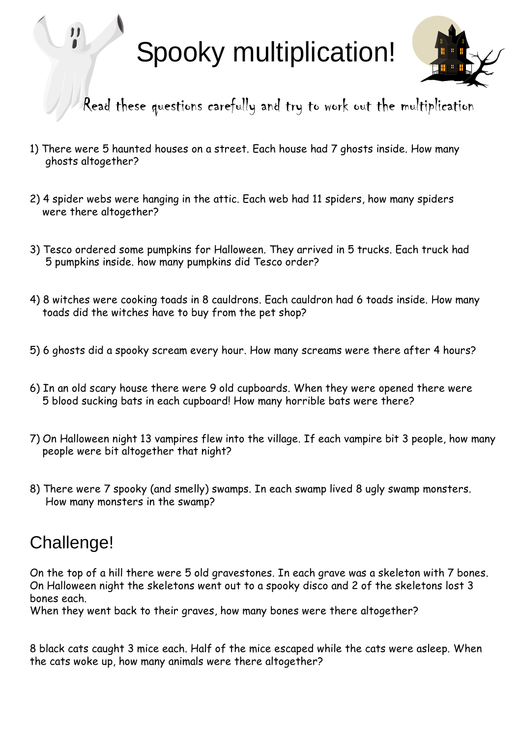# Spooky multiplication!



Read these questions carefully and try to work out the multiplication

- 1) There were 5 haunted houses on a street. Each house had 7 ghosts inside. How many ghosts altogether?
- 2) 4 spider webs were hanging in the attic. Each web had 11 spiders, how many spiders were there altogether?
- 3) Tesco ordered some pumpkins for Halloween. They arrived in 5 trucks. Each truck had 5 pumpkins inside. how many pumpkins did Tesco order?
- 4) 8 witches were cooking toads in 8 cauldrons. Each cauldron had 6 toads inside. How many toads did the witches have to buy from the pet shop?
- 5) 6 ghosts did a spooky scream every hour. How many screams were there after 4 hours?
- 6) In an old scary house there were 9 old cupboards. When they were opened there were 5 blood sucking bats in each cupboard! How many horrible bats were there?
- 7) On Halloween night 13 vampires flew into the village. If each vampire bit 3 people, how many people were bit altogether that night?
- 8) There were 7 spooky (and smelly) swamps. In each swamp lived 8 ugly swamp monsters. How many monsters in the swamp?

### Challenge!

On the top of a hill there were 5 old gravestones. In each grave was a skeleton with 7 bones. On Halloween night the skeletons went out to a spooky disco and 2 of the skeletons lost 3 bones each.

When they went back to their graves, how many bones were there altogether?

8 black cats caught 3 mice each. Half of the mice escaped while the cats were asleep. When the cats woke up, how many animals were there altogether?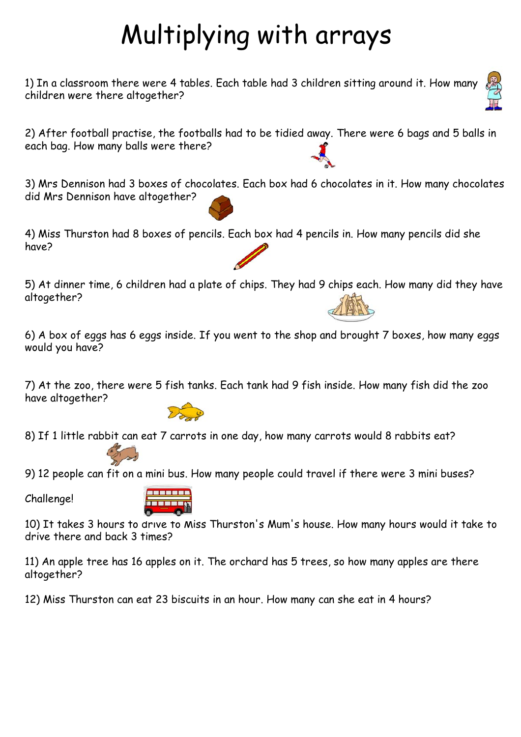## Multiplying with arrays

1) In a classroom there were 4 tables. Each table had 3 children sitting around it. How many children were there altogether?

2) After football practise, the footballs had to be tidied away. There were 6 bags and 5 balls in each bag. How many balls were there?

3) Mrs Dennison had 3 boxes of chocolates. Each box had 6 chocolates in it. How many chocolates did Mrs Dennison have altogether?

4) Miss Thurston had 8 boxes of pencils. Each box had 4 pencils in. How many pencils did she have?

5) At dinner time, 6 children had a plate of chips. They had 9 chips each. How many did they have altogether?

6) A box of eggs has 6 eggs inside. If you went to the shop and brought 7 boxes, how many eggs would you have?

7) At the zoo, there were 5 fish tanks. Each tank had 9 fish inside. How many fish did the zoo have altogether?

8) If 1 little rabbit can eat 7 carrots in one day, how many carrots would 8 rabbits eat?

9) 12 people can fit on a mini bus. How many people could travel if there were 3 mini buses?

Challenge!



10) It takes 3 hours to drive to Miss Thurston's Mum's house. How many hours would it take to drive there and back 3 times?

11) An apple tree has 16 apples on it. The orchard has 5 trees, so how many apples are there altogether?

12) Miss Thurston can eat 23 biscuits in an hour. How many can she eat in 4 hours?